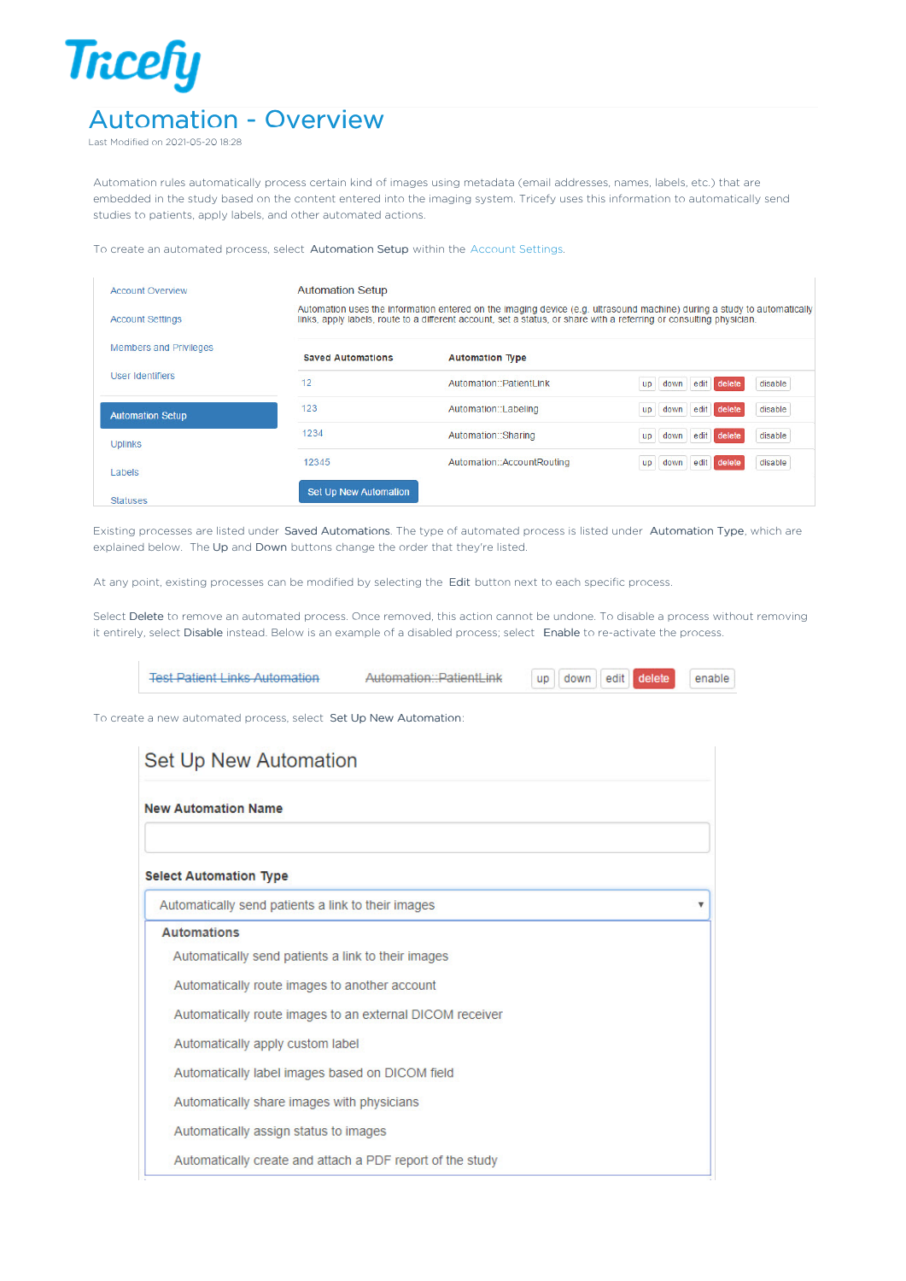## **Tricefy** Automation - Overview

Last Modified on 2021-05-20 18:28

Automation rules automatically process certain kind of images using metadata (email addresses, names, labels, etc.) that are embedded in the study based on the content entered into the imaging system. Tricefy uses this information to automatically send studies to patients, apply labels, and other automated actions.

To create an automated process, select Automation Setup within the Account Settings.

| <b>Account Overview</b>       | <b>Automation Setup</b>  |                                                                                                                                                                                                                                                |                                                  |  |  |  |
|-------------------------------|--------------------------|------------------------------------------------------------------------------------------------------------------------------------------------------------------------------------------------------------------------------------------------|--------------------------------------------------|--|--|--|
| <b>Account Settings</b>       |                          | Automation uses the information entered on the imaging device (e.g. ultrasound machine) during a study to automatically<br>links, apply labels, route to a different account, set a status, or share with a referring or consulting physician. |                                                  |  |  |  |
| <b>Members and Privileges</b> | <b>Saved Automations</b> | <b>Automation Type</b>                                                                                                                                                                                                                         |                                                  |  |  |  |
| User Identifiers              | 12                       | Automation::PatientLink                                                                                                                                                                                                                        | disable<br>delete<br>edit<br>down<br><b>up</b>   |  |  |  |
| <b>Automation Setup</b>       | 123                      | Automation::Labeling                                                                                                                                                                                                                           | disable<br>edit<br>delete<br>down<br><b>up</b>   |  |  |  |
| <b>Uplinks</b>                | 1234                     | Automation::Sharing                                                                                                                                                                                                                            | disable<br>edit  <br>delete<br><b>up</b><br>down |  |  |  |
| Labels                        | 12345                    | Automation::AccountRouting                                                                                                                                                                                                                     | disable<br>delete<br>edit<br>up<br>down          |  |  |  |
| <b>Statuses</b>               | Set Up New Automation    |                                                                                                                                                                                                                                                |                                                  |  |  |  |

Existing processes are listed under Saved Automations. The type of automated process is listed under Automation Type, which are explained below. The Up and Down buttons change the order that they're listed.

At any point, existing processes can be modified by selecting the Edit button next to each specific process.

Select Delete to remove an automated process. Once removed, this action cannot be undone. To disable a process without removing it entirely, select Disable instead. Below is an example of a disabled process; select Enable to re-activate the process.

| <b>Set Up New Automation</b>                       |                                                          |  |
|----------------------------------------------------|----------------------------------------------------------|--|
| <b>New Automation Name</b>                         |                                                          |  |
| <b>Select Automation Type</b>                      |                                                          |  |
| Automatically send patients a link to their images |                                                          |  |
| <b>Automations</b>                                 |                                                          |  |
| Automatically send patients a link to their images |                                                          |  |
| Automatically route images to another account      |                                                          |  |
|                                                    | Automatically route images to an external DICOM receiver |  |
| Automatically apply custom label                   |                                                          |  |
| Automatically label images based on DICOM field    |                                                          |  |
| Automatically share images with physicians         |                                                          |  |
|                                                    | Automatically assign status to images                    |  |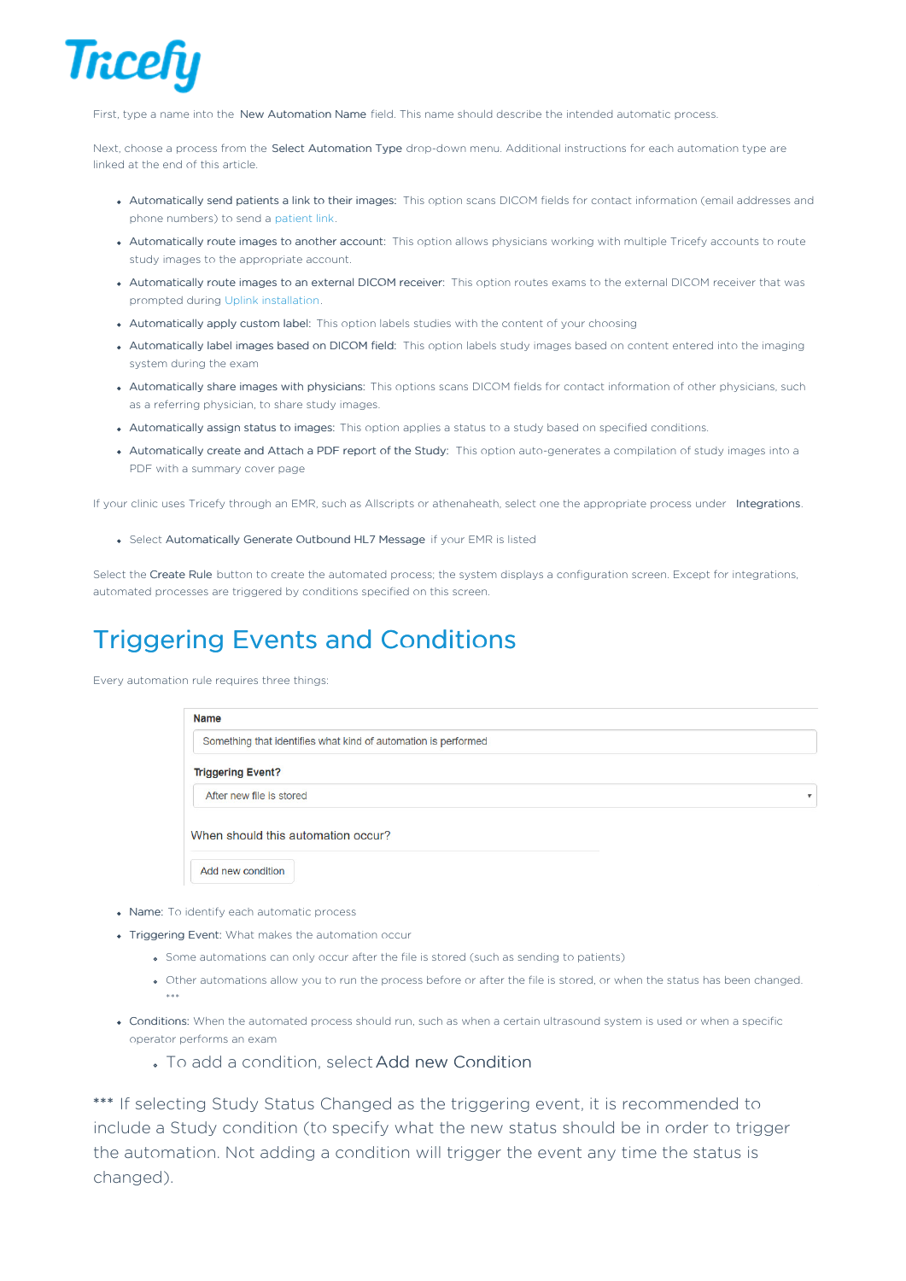

First, type a name into the New Automation Name field. This name should describe the intended automatic process.

Next, choose a process from the Select Automation Type drop-down menu. Additional instructions for each automation type are linked at the end of this article.

- Automatically send patients a link to their images: This option scans DICOM fields for contact information (email addresses and phone numbers) to send a patient link.
- Automatically route images to another account: This option allows physicians working with multiple Tricefy accounts to route study images to the appropriate account.
- Automatically route images to an external DICOM receiver: This option routes exams to the external DICOM receiver that was prompted during Uplink installation.
- Automatically apply custom label: This option labels studies with the content of your choosing
- Automatically label images based on DICOM field: This option labels study images based on content entered into the imaging system during the exam
- Automatically share images with physicians: This options scans DICOM fields for contact information of other physicians, such as a referring physician, to share study images.
- Automatically assign status to images: This option applies a status to a study based on specified conditions.
- Automatically create and Attach a PDF report of the Study: This option auto-generates a compilation of study images into a PDF with a summary cover page

If your clinic uses Tricefy through an EMR, such as Allscripts or athenaheath, select one the appropriate process under Integrations.

Select Automatically Generate Outbound HL7 Message if your EMR is listed

Select the Create Rule button to create the automated process; the system displays a configuration screen. Except for integrations, automated processes are triggered by conditions specified on this screen.

## Triggering Events and Conditions

Every automation rule requires three things:

| <b>Name</b>                                                    |   |
|----------------------------------------------------------------|---|
| Something that identifies what kind of automation is performed |   |
| <b>Triggering Event?</b>                                       |   |
| After new file is stored                                       | v |
| When should this automation occur?                             |   |
| Add new condition                                              |   |

- Name: To identify each automatic process
- Triggering Event: What makes the automation occur
	- Some automations can only occur after the file is stored (such as sending to patients)
	- Other automations allow you to run the process before or after the file is stored, or when the status has been changed. \*\*\*
- Conditions: When the automated process should run, such as when a certain ultrasound system is used or when a specific operator performs an exam
	- To add a condition, selectAdd new Condition

\*\*\* If selecting Study Status Changed as the triggering event, it is recommended to include a Study condition (to specify what the new status should be in order to trigger the automation. Not adding a condition will trigger the event any time the status is changed).